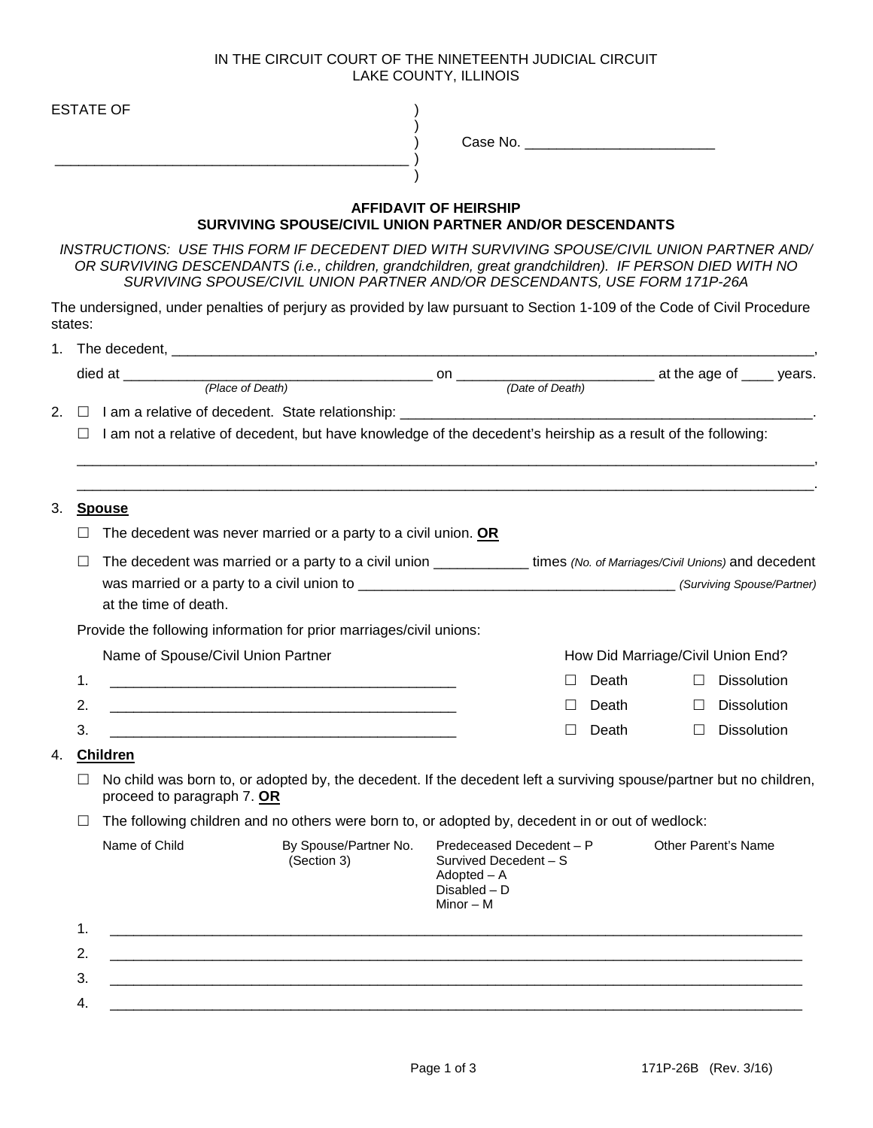## IN THE CIRCUIT COURT OF THE NINETEENTH JUDICIAL CIRCUIT LAKE COUNTY, ILLINOIS

|    |         | <b>ESTATE OF</b>                                                                                                                                                                                     |                                                                                                                                                                                                                                      |                                                                                                   |              |        |                                   |  |
|----|---------|------------------------------------------------------------------------------------------------------------------------------------------------------------------------------------------------------|--------------------------------------------------------------------------------------------------------------------------------------------------------------------------------------------------------------------------------------|---------------------------------------------------------------------------------------------------|--------------|--------|-----------------------------------|--|
|    |         |                                                                                                                                                                                                      |                                                                                                                                                                                                                                      |                                                                                                   |              |        |                                   |  |
|    |         |                                                                                                                                                                                                      |                                                                                                                                                                                                                                      |                                                                                                   |              |        |                                   |  |
|    |         |                                                                                                                                                                                                      | SURVIVING SPOUSE/CIVIL UNION PARTNER AND/OR DESCENDANTS                                                                                                                                                                              | <b>AFFIDAVIT OF HEIRSHIP</b>                                                                      |              |        |                                   |  |
|    |         | INSTRUCTIONS: USE THIS FORM IF DECEDENT DIED WITH SURVIVING SPOUSE/CIVIL UNION PARTNER AND/<br>OR SURVIVING DESCENDANTS (i.e., children, grandchildren, great grandchildren). IF PERSON DIED WITH NO | SURVIVING SPOUSE/CIVIL UNION PARTNER AND/OR DESCENDANTS, USE FORM 171P-26A                                                                                                                                                           |                                                                                                   |              |        |                                   |  |
|    | states: | The undersigned, under penalties of perjury as provided by law pursuant to Section 1-109 of the Code of Civil Procedure                                                                              |                                                                                                                                                                                                                                      |                                                                                                   |              |        |                                   |  |
|    |         |                                                                                                                                                                                                      |                                                                                                                                                                                                                                      |                                                                                                   |              |        |                                   |  |
|    |         |                                                                                                                                                                                                      |                                                                                                                                                                                                                                      |                                                                                                   |              |        |                                   |  |
|    |         |                                                                                                                                                                                                      |                                                                                                                                                                                                                                      |                                                                                                   |              |        |                                   |  |
|    |         |                                                                                                                                                                                                      |                                                                                                                                                                                                                                      |                                                                                                   |              |        |                                   |  |
|    | $\Box$  | I am not a relative of decedent, but have knowledge of the decedent's heirship as a result of the following:                                                                                         |                                                                                                                                                                                                                                      |                                                                                                   |              |        |                                   |  |
|    |         |                                                                                                                                                                                                      |                                                                                                                                                                                                                                      |                                                                                                   |              |        |                                   |  |
|    |         |                                                                                                                                                                                                      |                                                                                                                                                                                                                                      |                                                                                                   |              |        |                                   |  |
|    |         | <u>Spouse</u>                                                                                                                                                                                        |                                                                                                                                                                                                                                      |                                                                                                   |              |        |                                   |  |
|    |         |                                                                                                                                                                                                      |                                                                                                                                                                                                                                      |                                                                                                   |              |        |                                   |  |
|    | ш       | The decedent was never married or a party to a civil union. OR                                                                                                                                       |                                                                                                                                                                                                                                      |                                                                                                   |              |        |                                   |  |
|    | ப       | The decedent was married or a party to a civil union ______________ times (No. of Marriages/Civil Unions) and decedent                                                                               |                                                                                                                                                                                                                                      |                                                                                                   |              |        |                                   |  |
| 3. |         |                                                                                                                                                                                                      |                                                                                                                                                                                                                                      |                                                                                                   |              |        |                                   |  |
|    |         | at the time of death.                                                                                                                                                                                |                                                                                                                                                                                                                                      |                                                                                                   |              |        |                                   |  |
|    |         | Provide the following information for prior marriages/civil unions:                                                                                                                                  |                                                                                                                                                                                                                                      |                                                                                                   |              |        |                                   |  |
|    |         | Name of Spouse/Civil Union Partner                                                                                                                                                                   |                                                                                                                                                                                                                                      |                                                                                                   |              |        | How Did Marriage/Civil Union End? |  |
|    | 1.      |                                                                                                                                                                                                      | <u> 1980 - Jan Barnett, mars ann an t-Amhraid ann an t-Amhraid ann an t-Amhraid ann an t-Amhraid ann an t-Amhraid ann an t-Amhraid ann an t-Amhraid ann an t-Amhraid ann an t-Amhraid ann an t-Amhraid ann an t-Amhraid ann an t</u> | $\perp$                                                                                           | Death        | $\Box$ | <b>Dissolution</b>                |  |
|    | 2.      |                                                                                                                                                                                                      |                                                                                                                                                                                                                                      |                                                                                                   | $\Box$ Death | $\Box$ | Dissolution                       |  |
|    | 3.      |                                                                                                                                                                                                      |                                                                                                                                                                                                                                      | $\Box$                                                                                            | Death        | $\Box$ | Dissolution                       |  |
|    |         | <b>Children</b>                                                                                                                                                                                      |                                                                                                                                                                                                                                      |                                                                                                   |              |        |                                   |  |
| 4. | П       | No child was born to, or adopted by, the decedent. If the decedent left a surviving spouse/partner but no children,<br>proceed to paragraph 7. OR                                                    |                                                                                                                                                                                                                                      |                                                                                                   |              |        |                                   |  |
|    | ப       | The following children and no others were born to, or adopted by, decedent in or out of wedlock:                                                                                                     |                                                                                                                                                                                                                                      |                                                                                                   |              |        |                                   |  |
|    |         | Name of Child                                                                                                                                                                                        | By Spouse/Partner No.<br>(Section 3)                                                                                                                                                                                                 | Predeceased Decedent - P<br>Survived Decedent - S<br>$Adopted - A$<br>Disabled - D<br>Minor $-$ M |              |        | Other Parent's Name               |  |
|    | 1.      |                                                                                                                                                                                                      | <u> 1989 - Jan James James James James James James James James James James James James James James James James</u>                                                                                                                   |                                                                                                   |              |        |                                   |  |
|    | 2.      |                                                                                                                                                                                                      |                                                                                                                                                                                                                                      |                                                                                                   |              |        |                                   |  |
|    | 3.      |                                                                                                                                                                                                      | <u> 1989 - Johann Stoff, deutscher Stoffen und der Stoffen und der Stoffen und der Stoffen und der Stoffen und de</u>                                                                                                                |                                                                                                   |              |        |                                   |  |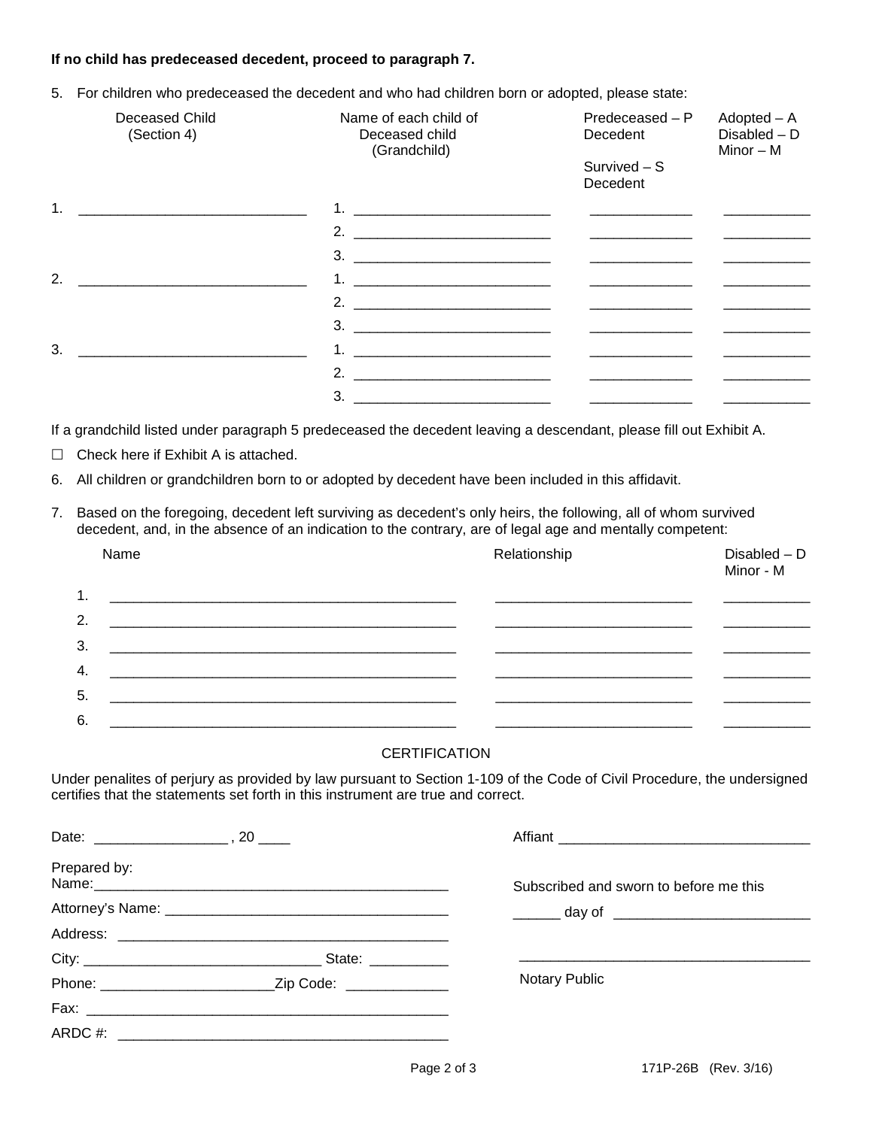## **If no child has predeceased decedent, proceed to paragraph 7.**

5. For children who predeceased the decedent and who had children born or adopted, please state:

| Deceased Child<br>(Section 4)               | Name of each child of<br>Deceased child<br>(Grandchild)                                                                                                                                                                                                                                                                | $Predeceased - P$<br>Decedent<br>$Survived - S$<br>Decedent                                                           | $Adopted - A$<br>$Disable$ d – D<br>Minor – M |
|---------------------------------------------|------------------------------------------------------------------------------------------------------------------------------------------------------------------------------------------------------------------------------------------------------------------------------------------------------------------------|-----------------------------------------------------------------------------------------------------------------------|-----------------------------------------------|
|                                             |                                                                                                                                                                                                                                                                                                                        |                                                                                                                       |                                               |
|                                             | 2. $\frac{1}{2}$ $\frac{1}{2}$ $\frac{1}{2}$ $\frac{1}{2}$ $\frac{1}{2}$ $\frac{1}{2}$ $\frac{1}{2}$ $\frac{1}{2}$ $\frac{1}{2}$ $\frac{1}{2}$ $\frac{1}{2}$ $\frac{1}{2}$ $\frac{1}{2}$ $\frac{1}{2}$ $\frac{1}{2}$ $\frac{1}{2}$ $\frac{1}{2}$ $\frac{1}{2}$ $\frac{1}{2}$ $\frac{1}{2}$ $\frac{1}{2}$ $\frac{1}{2}$ | <u> 1980 - John Harry Harry Harry Harry Harry Harry Harry Harry Harry Harry Harry Harry Harry Harry Harry Harry H</u> |                                               |
|                                             |                                                                                                                                                                                                                                                                                                                        |                                                                                                                       |                                               |
| 2.                                          |                                                                                                                                                                                                                                                                                                                        |                                                                                                                       |                                               |
|                                             |                                                                                                                                                                                                                                                                                                                        |                                                                                                                       |                                               |
|                                             |                                                                                                                                                                                                                                                                                                                        |                                                                                                                       |                                               |
| 3.                                          |                                                                                                                                                                                                                                                                                                                        |                                                                                                                       |                                               |
|                                             | 2. $\frac{1}{2}$ $\frac{1}{2}$ $\frac{1}{2}$ $\frac{1}{2}$ $\frac{1}{2}$ $\frac{1}{2}$ $\frac{1}{2}$ $\frac{1}{2}$ $\frac{1}{2}$ $\frac{1}{2}$ $\frac{1}{2}$ $\frac{1}{2}$ $\frac{1}{2}$ $\frac{1}{2}$ $\frac{1}{2}$ $\frac{1}{2}$ $\frac{1}{2}$ $\frac{1}{2}$ $\frac{1}{2}$ $\frac{1}{2}$ $\frac{1}{2}$ $\frac{1}{2}$ |                                                                                                                       |                                               |
|                                             | $3.$ $2.$                                                                                                                                                                                                                                                                                                              | the contract of the contract of the contract of                                                                       |                                               |
| $\Box$ Check here if Exhibit A is attached. | If a grandchild listed under paragraph 5 predeceased the decedent leaving a descendant, please fill out Exhibit A.                                                                                                                                                                                                     |                                                                                                                       |                                               |

- 6. All children or grandchildren born to or adopted by decedent have been included in this affidavit.
- 7. Based on the foregoing, decedent left surviving as decedent's only heirs, the following, all of whom survived decedent, and, in the absence of an indication to the contrary, are of legal age and mentally competent:

| Name | Relationship | $Disable$ d – D<br>Minor - M |
|------|--------------|------------------------------|
| 1.   |              |                              |
| 2.   |              |                              |
| 3.   |              |                              |
| 4.   |              |                              |
| 5.   |              |                              |
| 6.   |              |                              |

## **CERTIFICATION**

Under penalites of perjury as provided by law pursuant to Section 1-109 of the Code of Civil Procedure, the undersigned certifies that the statements set forth in this instrument are true and correct.

| Prepared by: | Name: Name: Name: Name: Name: Name: Name: Name: Name: Name: Name: Name: Name: Name: Name: Name: Name: Name: Name: Name: Name: Name: Name: Name: Name: Name: Name: Name: Name: Name: Name: Name: Name: Name: Name: Name: Name: | Subscribed and sworn to before me this       |
|--------------|-------------------------------------------------------------------------------------------------------------------------------------------------------------------------------------------------------------------------------|----------------------------------------------|
|              |                                                                                                                                                                                                                               | _______ day of _____________________________ |
|              |                                                                                                                                                                                                                               |                                              |
|              |                                                                                                                                                                                                                               |                                              |
|              |                                                                                                                                                                                                                               | <b>Notary Public</b>                         |
|              |                                                                                                                                                                                                                               |                                              |
|              |                                                                                                                                                                                                                               |                                              |